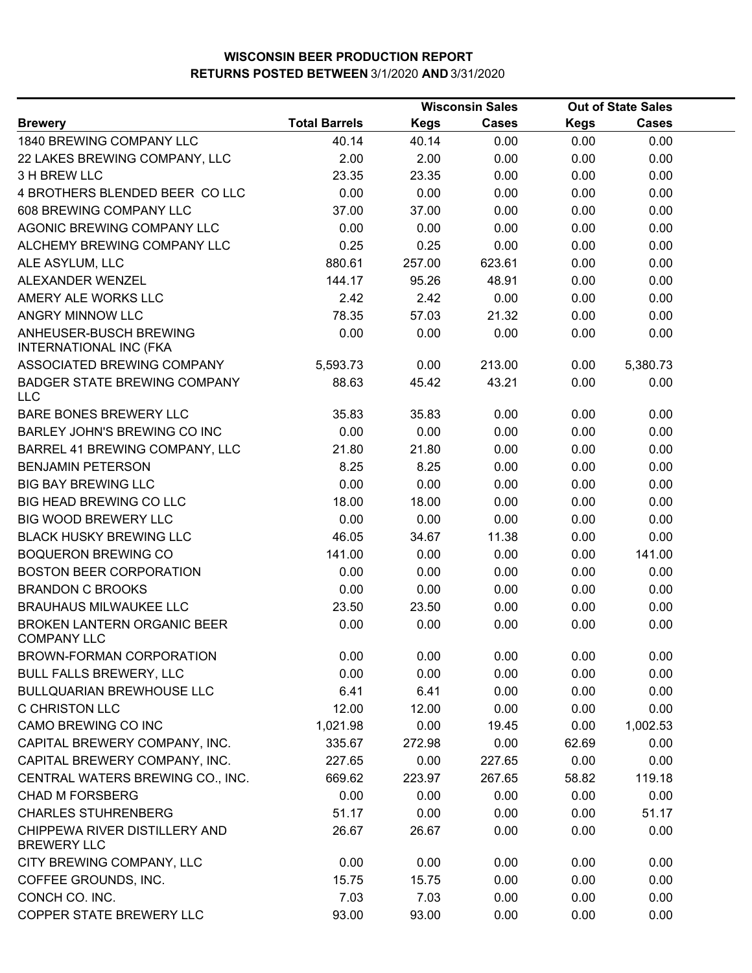|                                                          |                      |             | <b>Wisconsin Sales</b> |             | <b>Out of State Sales</b> |  |
|----------------------------------------------------------|----------------------|-------------|------------------------|-------------|---------------------------|--|
| <b>Brewery</b>                                           | <b>Total Barrels</b> | <b>Kegs</b> | <b>Cases</b>           | <b>Kegs</b> | <b>Cases</b>              |  |
| 1840 BREWING COMPANY LLC                                 | 40.14                | 40.14       | 0.00                   | 0.00        | 0.00                      |  |
| 22 LAKES BREWING COMPANY, LLC                            | 2.00                 | 2.00        | 0.00                   | 0.00        | 0.00                      |  |
| 3 H BREW LLC                                             | 23.35                | 23.35       | 0.00                   | 0.00        | 0.00                      |  |
| 4 BROTHERS BLENDED BEER CO LLC                           | 0.00                 | 0.00        | 0.00                   | 0.00        | 0.00                      |  |
| 608 BREWING COMPANY LLC                                  | 37.00                | 37.00       | 0.00                   | 0.00        | 0.00                      |  |
| AGONIC BREWING COMPANY LLC                               | 0.00                 | 0.00        | 0.00                   | 0.00        | 0.00                      |  |
| ALCHEMY BREWING COMPANY LLC                              | 0.25                 | 0.25        | 0.00                   | 0.00        | 0.00                      |  |
| ALE ASYLUM, LLC                                          | 880.61               | 257.00      | 623.61                 | 0.00        | 0.00                      |  |
| ALEXANDER WENZEL                                         | 144.17               | 95.26       | 48.91                  | 0.00        | 0.00                      |  |
| AMERY ALE WORKS LLC                                      | 2.42                 | 2.42        | 0.00                   | 0.00        | 0.00                      |  |
| ANGRY MINNOW LLC                                         | 78.35                | 57.03       | 21.32                  | 0.00        | 0.00                      |  |
| ANHEUSER-BUSCH BREWING<br>INTERNATIONAL INC (FKA         | 0.00                 | 0.00        | 0.00                   | 0.00        | 0.00                      |  |
| ASSOCIATED BREWING COMPANY                               | 5,593.73             | 0.00        | 213.00                 | 0.00        | 5,380.73                  |  |
| <b>BADGER STATE BREWING COMPANY</b><br><b>LLC</b>        | 88.63                | 45.42       | 43.21                  | 0.00        | 0.00                      |  |
| <b>BARE BONES BREWERY LLC</b>                            | 35.83                | 35.83       | 0.00                   | 0.00        | 0.00                      |  |
| BARLEY JOHN'S BREWING CO INC                             | 0.00                 | 0.00        | 0.00                   | 0.00        | 0.00                      |  |
| BARREL 41 BREWING COMPANY, LLC                           | 21.80                | 21.80       | 0.00                   | 0.00        | 0.00                      |  |
| <b>BENJAMIN PETERSON</b>                                 | 8.25                 | 8.25        | 0.00                   | 0.00        | 0.00                      |  |
| <b>BIG BAY BREWING LLC</b>                               | 0.00                 | 0.00        | 0.00                   | 0.00        | 0.00                      |  |
| <b>BIG HEAD BREWING CO LLC</b>                           | 18.00                | 18.00       | 0.00                   | 0.00        | 0.00                      |  |
| <b>BIG WOOD BREWERY LLC</b>                              | 0.00                 | 0.00        | 0.00                   | 0.00        | 0.00                      |  |
| <b>BLACK HUSKY BREWING LLC</b>                           | 46.05                | 34.67       | 11.38                  | 0.00        | 0.00                      |  |
| <b>BOQUERON BREWING CO</b>                               | 141.00               | 0.00        | 0.00                   | 0.00        | 141.00                    |  |
| <b>BOSTON BEER CORPORATION</b>                           | 0.00                 | 0.00        | 0.00                   | 0.00        | 0.00                      |  |
| <b>BRANDON C BROOKS</b>                                  | 0.00                 | 0.00        | 0.00                   | 0.00        | 0.00                      |  |
| <b>BRAUHAUS MILWAUKEE LLC</b>                            | 23.50                | 23.50       | 0.00                   | 0.00        | 0.00                      |  |
| <b>BROKEN LANTERN ORGANIC BEER</b><br><b>COMPANY LLC</b> | 0.00                 | 0.00        | 0.00                   | 0.00        | 0.00                      |  |
| BROWN-FORMAN CORPORATION                                 | 0.00                 | 0.00        | 0.00                   | 0.00        | 0.00                      |  |
| <b>BULL FALLS BREWERY, LLC</b>                           | 0.00                 | 0.00        | 0.00                   | 0.00        | 0.00                      |  |
| <b>BULLQUARIAN BREWHOUSE LLC</b>                         | 6.41                 | 6.41        | 0.00                   | 0.00        | 0.00                      |  |
| <b>C CHRISTON LLC</b>                                    | 12.00                | 12.00       | 0.00                   | 0.00        | 0.00                      |  |
| CAMO BREWING CO INC                                      | 1,021.98             | 0.00        | 19.45                  | 0.00        | 1,002.53                  |  |
| CAPITAL BREWERY COMPANY, INC.                            | 335.67               | 272.98      | 0.00                   | 62.69       | 0.00                      |  |
| CAPITAL BREWERY COMPANY, INC.                            | 227.65               | 0.00        | 227.65                 | 0.00        | 0.00                      |  |
| CENTRAL WATERS BREWING CO., INC.                         | 669.62               | 223.97      | 267.65                 | 58.82       | 119.18                    |  |
| <b>CHAD M FORSBERG</b>                                   | 0.00                 | 0.00        | 0.00                   | 0.00        | 0.00                      |  |
| <b>CHARLES STUHRENBERG</b>                               | 51.17                | 0.00        | 0.00                   | 0.00        | 51.17                     |  |
| CHIPPEWA RIVER DISTILLERY AND<br><b>BREWERY LLC</b>      | 26.67                | 26.67       | 0.00                   | 0.00        | 0.00                      |  |
| CITY BREWING COMPANY, LLC                                | 0.00                 | 0.00        | 0.00                   | 0.00        | 0.00                      |  |
| COFFEE GROUNDS, INC.                                     | 15.75                | 15.75       | 0.00                   | 0.00        | 0.00                      |  |
| CONCH CO. INC.                                           | 7.03                 | 7.03        | 0.00                   | 0.00        | 0.00                      |  |
| COPPER STATE BREWERY LLC                                 | 93.00                | 93.00       | 0.00                   | 0.00        | 0.00                      |  |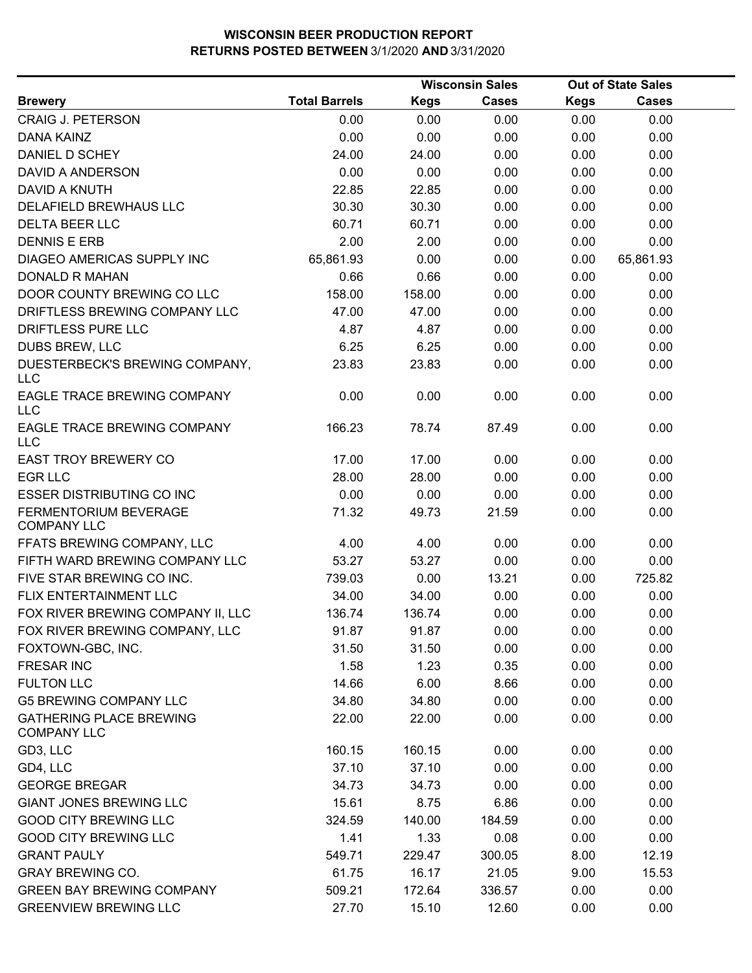|                                                      |                      |             | <b>Wisconsin Sales</b> |             | <b>Out of State Sales</b> |  |
|------------------------------------------------------|----------------------|-------------|------------------------|-------------|---------------------------|--|
| <b>Brewery</b>                                       | <b>Total Barrels</b> | <b>Kegs</b> | <b>Cases</b>           | <b>Kegs</b> | <b>Cases</b>              |  |
| CRAIG J. PETERSON                                    | 0.00                 | 0.00        | 0.00                   | 0.00        | 0.00                      |  |
| DANA KAINZ                                           | 0.00                 | 0.00        | 0.00                   | 0.00        | 0.00                      |  |
| DANIEL D SCHEY                                       | 24.00                | 24.00       | 0.00                   | 0.00        | 0.00                      |  |
| DAVID A ANDERSON                                     | 0.00                 | 0.00        | 0.00                   | 0.00        | 0.00                      |  |
| <b>DAVID A KNUTH</b>                                 | 22.85                | 22.85       | 0.00                   | 0.00        | 0.00                      |  |
| DELAFIELD BREWHAUS LLC                               | 30.30                | 30.30       | 0.00                   | 0.00        | 0.00                      |  |
| <b>DELTA BEER LLC</b>                                | 60.71                | 60.71       | 0.00                   | 0.00        | 0.00                      |  |
| <b>DENNIS E ERB</b>                                  | 2.00                 | 2.00        | 0.00                   | 0.00        | 0.00                      |  |
| DIAGEO AMERICAS SUPPLY INC                           | 65,861.93            | 0.00        | 0.00                   | 0.00        | 65,861.93                 |  |
| <b>DONALD R MAHAN</b>                                | 0.66                 | 0.66        | 0.00                   | 0.00        | 0.00                      |  |
| DOOR COUNTY BREWING CO LLC                           | 158.00               | 158.00      | 0.00                   | 0.00        | 0.00                      |  |
| DRIFTLESS BREWING COMPANY LLC                        | 47.00                | 47.00       | 0.00                   | 0.00        | 0.00                      |  |
| DRIFTLESS PURE LLC                                   | 4.87                 | 4.87        | 0.00                   | 0.00        | 0.00                      |  |
| DUBS BREW, LLC                                       | 6.25                 | 6.25        | 0.00                   | 0.00        | 0.00                      |  |
| DUESTERBECK'S BREWING COMPANY,<br><b>LLC</b>         | 23.83                | 23.83       | 0.00                   | 0.00        | 0.00                      |  |
| EAGLE TRACE BREWING COMPANY<br><b>LLC</b>            | 0.00                 | 0.00        | 0.00                   | 0.00        | 0.00                      |  |
| EAGLE TRACE BREWING COMPANY<br>LLC                   | 166.23               | 78.74       | 87.49                  | 0.00        | 0.00                      |  |
| <b>EAST TROY BREWERY CO</b>                          | 17.00                | 17.00       | 0.00                   | 0.00        | 0.00                      |  |
| <b>EGR LLC</b>                                       | 28.00                | 28.00       | 0.00                   | 0.00        | 0.00                      |  |
| <b>ESSER DISTRIBUTING CO INC</b>                     | 0.00                 | 0.00        | 0.00                   | 0.00        | 0.00                      |  |
| FERMENTORIUM BEVERAGE<br><b>COMPANY LLC</b>          | 71.32                | 49.73       | 21.59                  | 0.00        | 0.00                      |  |
| FFATS BREWING COMPANY, LLC                           | 4.00                 | 4.00        | 0.00                   | 0.00        | 0.00                      |  |
| FIFTH WARD BREWING COMPANY LLC                       | 53.27                | 53.27       | 0.00                   | 0.00        | 0.00                      |  |
| FIVE STAR BREWING CO INC.                            | 739.03               | 0.00        | 13.21                  | 0.00        | 725.82                    |  |
| FLIX ENTERTAINMENT LLC                               | 34.00                | 34.00       | 0.00                   | 0.00        | 0.00                      |  |
| FOX RIVER BREWING COMPANY II, LLC                    | 136.74               | 136.74      | 0.00                   | 0.00        | 0.00                      |  |
| FOX RIVER BREWING COMPANY, LLC                       | 91.87                | 91.87       | 0.00                   | 0.00        | 0.00                      |  |
| FOXTOWN-GBC, INC.                                    | 31.50                | 31.50       | 0.00                   | 0.00        | 0.00                      |  |
| <b>FRESAR INC</b>                                    | 1.58                 | 1.23        | 0.35                   | 0.00        | 0.00                      |  |
| <b>FULTON LLC</b>                                    | 14.66                | 6.00        | 8.66                   | 0.00        | 0.00                      |  |
| <b>G5 BREWING COMPANY LLC</b>                        | 34.80                | 34.80       | 0.00                   | 0.00        | 0.00                      |  |
| <b>GATHERING PLACE BREWING</b><br><b>COMPANY LLC</b> | 22.00                | 22.00       | 0.00                   | 0.00        | 0.00                      |  |
| GD3, LLC                                             | 160.15               | 160.15      | 0.00                   | 0.00        | 0.00                      |  |
| GD4, LLC                                             | 37.10                | 37.10       | 0.00                   | 0.00        | 0.00                      |  |
| <b>GEORGE BREGAR</b>                                 | 34.73                | 34.73       | 0.00                   | 0.00        | 0.00                      |  |
| <b>GIANT JONES BREWING LLC</b>                       | 15.61                | 8.75        | 6.86                   | 0.00        | 0.00                      |  |
| <b>GOOD CITY BREWING LLC</b>                         | 324.59               | 140.00      | 184.59                 | 0.00        | 0.00                      |  |
| <b>GOOD CITY BREWING LLC</b>                         | 1.41                 | 1.33        | 0.08                   | 0.00        | 0.00                      |  |
| <b>GRANT PAULY</b>                                   | 549.71               | 229.47      | 300.05                 | 8.00        | 12.19                     |  |
| <b>GRAY BREWING CO.</b>                              | 61.75                | 16.17       | 21.05                  | 9.00        | 15.53                     |  |
| <b>GREEN BAY BREWING COMPANY</b>                     | 509.21               | 172.64      | 336.57                 | 0.00        | 0.00                      |  |
| <b>GREENVIEW BREWING LLC</b>                         | 27.70                | 15.10       | 12.60                  | 0.00        | 0.00                      |  |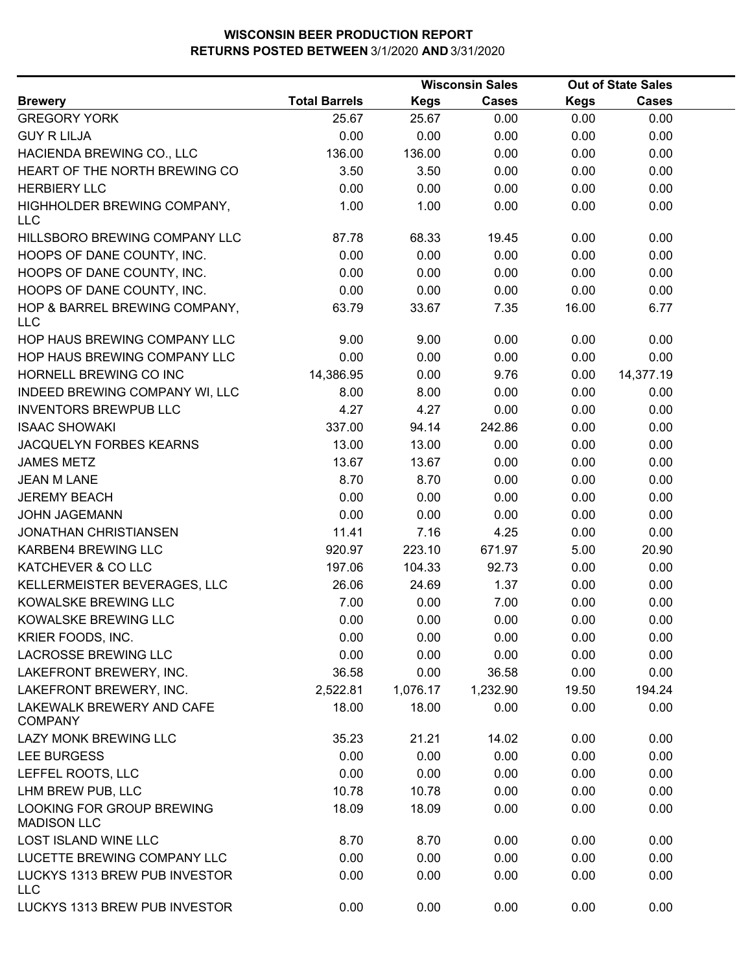|                                                 |                      |             | <b>Wisconsin Sales</b> |             | <b>Out of State Sales</b> |  |
|-------------------------------------------------|----------------------|-------------|------------------------|-------------|---------------------------|--|
| <b>Brewery</b>                                  | <b>Total Barrels</b> | <b>Kegs</b> | <b>Cases</b>           | <b>Kegs</b> | <b>Cases</b>              |  |
| <b>GREGORY YORK</b>                             | 25.67                | 25.67       | 0.00                   | 0.00        | 0.00                      |  |
| <b>GUY R LILJA</b>                              | 0.00                 | 0.00        | 0.00                   | 0.00        | 0.00                      |  |
| HACIENDA BREWING CO., LLC                       | 136.00               | 136.00      | 0.00                   | 0.00        | 0.00                      |  |
| HEART OF THE NORTH BREWING CO                   | 3.50                 | 3.50        | 0.00                   | 0.00        | 0.00                      |  |
| <b>HERBIERY LLC</b>                             | 0.00                 | 0.00        | 0.00                   | 0.00        | 0.00                      |  |
| HIGHHOLDER BREWING COMPANY,<br><b>LLC</b>       | 1.00                 | 1.00        | 0.00                   | 0.00        | 0.00                      |  |
| HILLSBORO BREWING COMPANY LLC                   | 87.78                | 68.33       | 19.45                  | 0.00        | 0.00                      |  |
| HOOPS OF DANE COUNTY, INC.                      | 0.00                 | 0.00        | 0.00                   | 0.00        | 0.00                      |  |
| HOOPS OF DANE COUNTY, INC.                      | 0.00                 | 0.00        | 0.00                   | 0.00        | 0.00                      |  |
| HOOPS OF DANE COUNTY, INC.                      | 0.00                 | 0.00        | 0.00                   | 0.00        | 0.00                      |  |
| HOP & BARREL BREWING COMPANY,<br><b>LLC</b>     | 63.79                | 33.67       | 7.35                   | 16.00       | 6.77                      |  |
| HOP HAUS BREWING COMPANY LLC                    | 9.00                 | 9.00        | 0.00                   | 0.00        | 0.00                      |  |
| HOP HAUS BREWING COMPANY LLC                    | 0.00                 | 0.00        | 0.00                   | 0.00        | 0.00                      |  |
| HORNELL BREWING CO INC                          | 14,386.95            | 0.00        | 9.76                   | 0.00        | 14,377.19                 |  |
| INDEED BREWING COMPANY WI, LLC                  | 8.00                 | 8.00        | 0.00                   | 0.00        | 0.00                      |  |
| <b>INVENTORS BREWPUB LLC</b>                    | 4.27                 | 4.27        | 0.00                   | 0.00        | 0.00                      |  |
| <b>ISAAC SHOWAKI</b>                            | 337.00               | 94.14       | 242.86                 | 0.00        | 0.00                      |  |
| JACQUELYN FORBES KEARNS                         | 13.00                | 13.00       | 0.00                   | 0.00        | 0.00                      |  |
| <b>JAMES METZ</b>                               | 13.67                | 13.67       | 0.00                   | 0.00        | 0.00                      |  |
| <b>JEAN M LANE</b>                              | 8.70                 | 8.70        | 0.00                   | 0.00        | 0.00                      |  |
| <b>JEREMY BEACH</b>                             | 0.00                 | 0.00        | 0.00                   | 0.00        | 0.00                      |  |
| <b>JOHN JAGEMANN</b>                            | 0.00                 | 0.00        | 0.00                   | 0.00        | 0.00                      |  |
| <b>JONATHAN CHRISTIANSEN</b>                    | 11.41                | 7.16        | 4.25                   | 0.00        | 0.00                      |  |
| KARBEN4 BREWING LLC                             | 920.97               | 223.10      | 671.97                 | 5.00        | 20.90                     |  |
| KATCHEVER & CO LLC                              | 197.06               | 104.33      | 92.73                  | 0.00        | 0.00                      |  |
| KELLERMEISTER BEVERAGES, LLC                    | 26.06                | 24.69       | 1.37                   | 0.00        | 0.00                      |  |
| KOWALSKE BREWING LLC                            | 7.00                 | 0.00        | 7.00                   | 0.00        | 0.00                      |  |
| KOWALSKE BREWING LLC                            | 0.00                 | 0.00        | 0.00                   | 0.00        | 0.00                      |  |
| KRIER FOODS, INC.                               | 0.00                 | 0.00        | 0.00                   | 0.00        | 0.00                      |  |
| <b>LACROSSE BREWING LLC</b>                     | 0.00                 | 0.00        | 0.00                   | 0.00        | 0.00                      |  |
| LAKEFRONT BREWERY, INC.                         | 36.58                | 0.00        | 36.58                  | 0.00        | 0.00                      |  |
| LAKEFRONT BREWERY, INC.                         | 2,522.81             | 1,076.17    | 1,232.90               | 19.50       | 194.24                    |  |
| LAKEWALK BREWERY AND CAFE<br><b>COMPANY</b>     | 18.00                | 18.00       | 0.00                   | 0.00        | 0.00                      |  |
| LAZY MONK BREWING LLC                           | 35.23                | 21.21       | 14.02                  | 0.00        | 0.00                      |  |
| <b>LEE BURGESS</b>                              | 0.00                 | 0.00        | 0.00                   | 0.00        | 0.00                      |  |
| LEFFEL ROOTS, LLC                               | 0.00                 | 0.00        | 0.00                   | 0.00        | 0.00                      |  |
| LHM BREW PUB, LLC                               | 10.78                | 10.78       | 0.00                   | 0.00        | 0.00                      |  |
| LOOKING FOR GROUP BREWING<br><b>MADISON LLC</b> | 18.09                | 18.09       | 0.00                   | 0.00        | 0.00                      |  |
| <b>LOST ISLAND WINE LLC</b>                     | 8.70                 | 8.70        | 0.00                   | 0.00        | 0.00                      |  |
| LUCETTE BREWING COMPANY LLC                     | 0.00                 | 0.00        | 0.00                   | 0.00        | 0.00                      |  |
| LUCKYS 1313 BREW PUB INVESTOR<br><b>LLC</b>     | 0.00                 | 0.00        | 0.00                   | 0.00        | 0.00                      |  |
| LUCKYS 1313 BREW PUB INVESTOR                   | 0.00                 | 0.00        | 0.00                   | 0.00        | 0.00                      |  |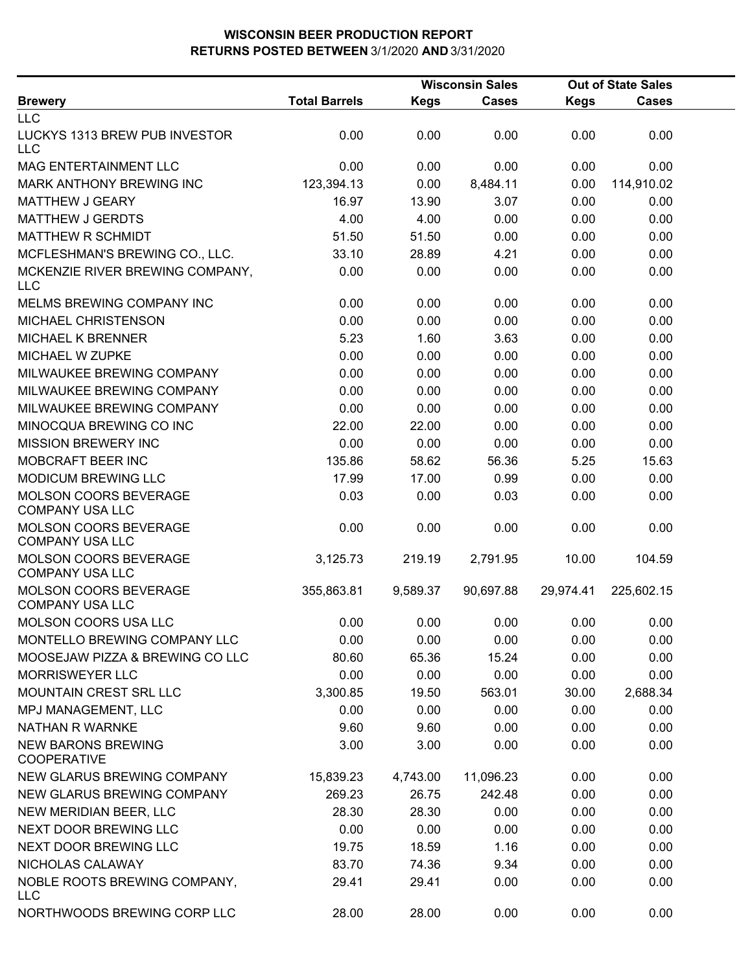|                                                        |                      |             | <b>Wisconsin Sales</b> | <b>Out of State Sales</b> |              |  |
|--------------------------------------------------------|----------------------|-------------|------------------------|---------------------------|--------------|--|
| <b>Brewery</b>                                         | <b>Total Barrels</b> | <b>Kegs</b> | <b>Cases</b>           | <b>Kegs</b>               | <b>Cases</b> |  |
| <b>LLC</b>                                             |                      |             |                        |                           |              |  |
| LUCKYS 1313 BREW PUB INVESTOR<br><b>LLC</b>            | 0.00                 | 0.00        | 0.00                   | 0.00                      | 0.00         |  |
| <b>MAG ENTERTAINMENT LLC</b>                           | 0.00                 | 0.00        | 0.00                   | 0.00                      | 0.00         |  |
| MARK ANTHONY BREWING INC                               | 123,394.13           | 0.00        | 8,484.11               | 0.00                      | 114,910.02   |  |
| <b>MATTHEW J GEARY</b>                                 | 16.97                | 13.90       | 3.07                   | 0.00                      | 0.00         |  |
| <b>MATTHEW J GERDTS</b>                                | 4.00                 | 4.00        | 0.00                   | 0.00                      | 0.00         |  |
| <b>MATTHEW R SCHMIDT</b>                               | 51.50                | 51.50       | 0.00                   | 0.00                      | 0.00         |  |
| MCFLESHMAN'S BREWING CO., LLC.                         | 33.10                | 28.89       | 4.21                   | 0.00                      | 0.00         |  |
| MCKENZIE RIVER BREWING COMPANY,<br><b>LLC</b>          | 0.00                 | 0.00        | 0.00                   | 0.00                      | 0.00         |  |
| MELMS BREWING COMPANY INC                              | 0.00                 | 0.00        | 0.00                   | 0.00                      | 0.00         |  |
| MICHAEL CHRISTENSON                                    | 0.00                 | 0.00        | 0.00                   | 0.00                      | 0.00         |  |
| <b>MICHAEL K BRENNER</b>                               | 5.23                 | 1.60        | 3.63                   | 0.00                      | 0.00         |  |
| MICHAEL W ZUPKE                                        | 0.00                 | 0.00        | 0.00                   | 0.00                      | 0.00         |  |
| MILWAUKEE BREWING COMPANY                              | 0.00                 | 0.00        | 0.00                   | 0.00                      | 0.00         |  |
| MILWAUKEE BREWING COMPANY                              | 0.00                 | 0.00        | 0.00                   | 0.00                      | 0.00         |  |
| MILWAUKEE BREWING COMPANY                              | 0.00                 | 0.00        | 0.00                   | 0.00                      | 0.00         |  |
| MINOCQUA BREWING CO INC                                | 22.00                | 22.00       | 0.00                   | 0.00                      | 0.00         |  |
| <b>MISSION BREWERY INC</b>                             | 0.00                 | 0.00        | 0.00                   | 0.00                      | 0.00         |  |
| MOBCRAFT BEER INC                                      | 135.86               | 58.62       | 56.36                  | 5.25                      | 15.63        |  |
| <b>MODICUM BREWING LLC</b>                             | 17.99                | 17.00       | 0.99                   | 0.00                      | 0.00         |  |
| <b>MOLSON COORS BEVERAGE</b><br><b>COMPANY USA LLC</b> | 0.03                 | 0.00        | 0.03                   | 0.00                      | 0.00         |  |
| MOLSON COORS BEVERAGE<br><b>COMPANY USA LLC</b>        | 0.00                 | 0.00        | 0.00                   | 0.00                      | 0.00         |  |
| <b>MOLSON COORS BEVERAGE</b><br><b>COMPANY USA LLC</b> | 3,125.73             | 219.19      | 2,791.95               | 10.00                     | 104.59       |  |
| MOLSON COORS BEVERAGE<br><b>COMPANY USA LLC</b>        | 355,863.81           | 9,589.37    | 90,697.88              | 29,974.41                 | 225,602.15   |  |
| <b>MOLSON COORS USA LLC</b>                            | 0.00                 | 0.00        | 0.00                   | 0.00                      | 0.00         |  |
| MONTELLO BREWING COMPANY LLC                           | 0.00                 | 0.00        | 0.00                   | 0.00                      | 0.00         |  |
| MOOSEJAW PIZZA & BREWING CO LLC                        | 80.60                | 65.36       | 15.24                  | 0.00                      | 0.00         |  |
| <b>MORRISWEYER LLC</b>                                 | 0.00                 | 0.00        | 0.00                   | 0.00                      | 0.00         |  |
| MOUNTAIN CREST SRL LLC                                 | 3,300.85             | 19.50       | 563.01                 | 30.00                     | 2,688.34     |  |
| MPJ MANAGEMENT, LLC                                    | 0.00                 | 0.00        | 0.00                   | 0.00                      | 0.00         |  |
| <b>NATHAN R WARNKE</b>                                 | 9.60                 | 9.60        | 0.00                   | 0.00                      | 0.00         |  |
| <b>NEW BARONS BREWING</b><br><b>COOPERATIVE</b>        | 3.00                 | 3.00        | 0.00                   | 0.00                      | 0.00         |  |
| NEW GLARUS BREWING COMPANY                             | 15,839.23            | 4,743.00    | 11,096.23              | 0.00                      | 0.00         |  |
| NEW GLARUS BREWING COMPANY                             | 269.23               | 26.75       | 242.48                 | 0.00                      | 0.00         |  |
| NEW MERIDIAN BEER, LLC                                 | 28.30                | 28.30       | 0.00                   | 0.00                      | 0.00         |  |
| NEXT DOOR BREWING LLC                                  | 0.00                 | 0.00        | 0.00                   | 0.00                      | 0.00         |  |
| NEXT DOOR BREWING LLC                                  | 19.75                | 18.59       | 1.16                   | 0.00                      | 0.00         |  |
| NICHOLAS CALAWAY                                       | 83.70                | 74.36       | 9.34                   | 0.00                      | 0.00         |  |
| NOBLE ROOTS BREWING COMPANY,<br><b>LLC</b>             | 29.41                | 29.41       | 0.00                   | 0.00                      | 0.00         |  |
| NORTHWOODS BREWING CORP LLC                            | 28.00                | 28.00       | 0.00                   | 0.00                      | 0.00         |  |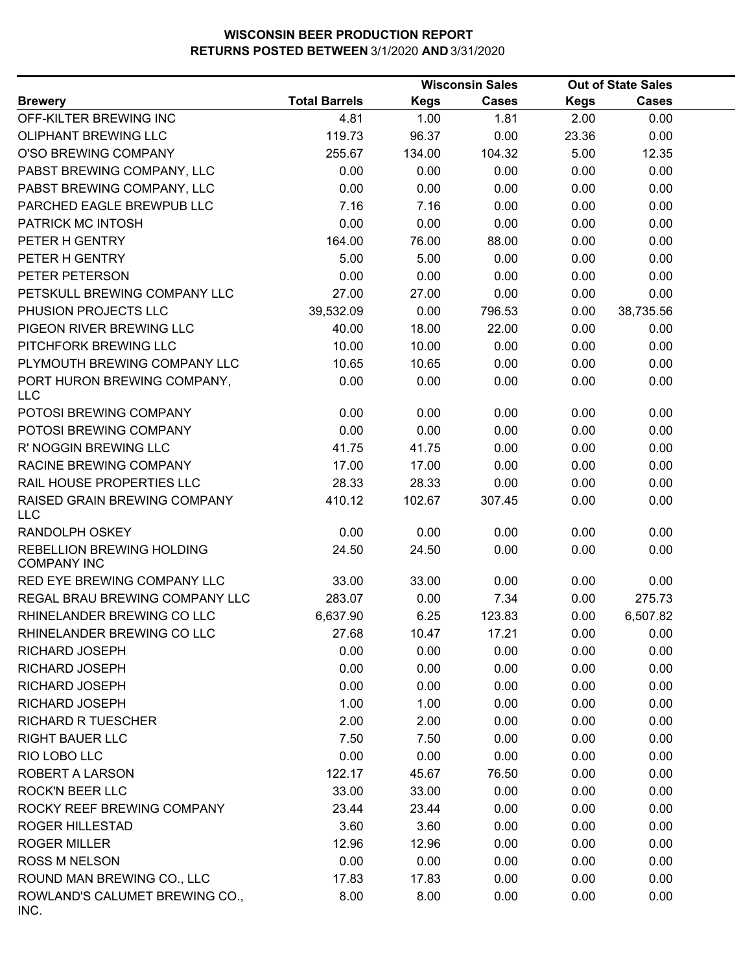|                                                 |                      |             | <b>Wisconsin Sales</b> |             | <b>Out of State Sales</b> |
|-------------------------------------------------|----------------------|-------------|------------------------|-------------|---------------------------|
| <b>Brewery</b>                                  | <b>Total Barrels</b> | <b>Kegs</b> | <b>Cases</b>           | <b>Kegs</b> | Cases                     |
| OFF-KILTER BREWING INC                          | 4.81                 | 1.00        | 1.81                   | 2.00        | 0.00                      |
| OLIPHANT BREWING LLC                            | 119.73               | 96.37       | 0.00                   | 23.36       | 0.00                      |
| O'SO BREWING COMPANY                            | 255.67               | 134.00      | 104.32                 | 5.00        | 12.35                     |
| PABST BREWING COMPANY, LLC                      | 0.00                 | 0.00        | 0.00                   | 0.00        | 0.00                      |
| PABST BREWING COMPANY, LLC                      | 0.00                 | 0.00        | 0.00                   | 0.00        | 0.00                      |
| PARCHED EAGLE BREWPUB LLC                       | 7.16                 | 7.16        | 0.00                   | 0.00        | 0.00                      |
| PATRICK MC INTOSH                               | 0.00                 | 0.00        | 0.00                   | 0.00        | 0.00                      |
| PETER H GENTRY                                  | 164.00               | 76.00       | 88.00                  | 0.00        | 0.00                      |
| PETER H GENTRY                                  | 5.00                 | 5.00        | 0.00                   | 0.00        | 0.00                      |
| PETER PETERSON                                  | 0.00                 | 0.00        | 0.00                   | 0.00        | 0.00                      |
| PETSKULL BREWING COMPANY LLC                    | 27.00                | 27.00       | 0.00                   | 0.00        | 0.00                      |
| PHUSION PROJECTS LLC                            | 39,532.09            | 0.00        | 796.53                 | 0.00        | 38,735.56                 |
| PIGEON RIVER BREWING LLC                        | 40.00                | 18.00       | 22.00                  | 0.00        | 0.00                      |
| PITCHFORK BREWING LLC                           | 10.00                | 10.00       | 0.00                   | 0.00        | 0.00                      |
| PLYMOUTH BREWING COMPANY LLC                    | 10.65                | 10.65       | 0.00                   | 0.00        | 0.00                      |
| PORT HURON BREWING COMPANY,<br><b>LLC</b>       | 0.00                 | 0.00        | 0.00                   | 0.00        | 0.00                      |
| POTOSI BREWING COMPANY                          | 0.00                 | 0.00        | 0.00                   | 0.00        | 0.00                      |
| POTOSI BREWING COMPANY                          | 0.00                 | 0.00        | 0.00                   | 0.00        | 0.00                      |
| R' NOGGIN BREWING LLC                           | 41.75                | 41.75       | 0.00                   | 0.00        | 0.00                      |
| RACINE BREWING COMPANY                          | 17.00                | 17.00       | 0.00                   | 0.00        | 0.00                      |
| RAIL HOUSE PROPERTIES LLC                       | 28.33                | 28.33       | 0.00                   | 0.00        | 0.00                      |
| RAISED GRAIN BREWING COMPANY<br><b>LLC</b>      | 410.12               | 102.67      | 307.45                 | 0.00        | 0.00                      |
| <b>RANDOLPH OSKEY</b>                           | 0.00                 | 0.00        | 0.00                   | 0.00        | 0.00                      |
| REBELLION BREWING HOLDING<br><b>COMPANY INC</b> | 24.50                | 24.50       | 0.00                   | 0.00        | 0.00                      |
| <b>RED EYE BREWING COMPANY LLC</b>              | 33.00                | 33.00       | 0.00                   | 0.00        | 0.00                      |
| REGAL BRAU BREWING COMPANY LLC                  | 283.07               | 0.00        | 7.34                   | 0.00        | 275.73                    |
| RHINELANDER BREWING CO LLC                      | 6,637.90             | 6.25        | 123.83                 | 0.00        | 6,507.82                  |
| RHINELANDER BREWING CO LLC                      | 27.68                | 10.47       | 17.21                  | 0.00        | 0.00                      |
| RICHARD JOSEPH                                  | 0.00                 | 0.00        | 0.00                   | 0.00        | 0.00                      |
| <b>RICHARD JOSEPH</b>                           | 0.00                 | 0.00        | 0.00                   | 0.00        | 0.00                      |
| <b>RICHARD JOSEPH</b>                           | 0.00                 | 0.00        | 0.00                   | 0.00        | 0.00                      |
| RICHARD JOSEPH                                  | 1.00                 | 1.00        | 0.00                   | 0.00        | 0.00                      |
| <b>RICHARD R TUESCHER</b>                       | 2.00                 | 2.00        | 0.00                   | 0.00        | 0.00                      |
| <b>RIGHT BAUER LLC</b>                          | 7.50                 | 7.50        | 0.00                   | 0.00        | 0.00                      |
| RIO LOBO LLC                                    | 0.00                 | 0.00        | 0.00                   | 0.00        | 0.00                      |
| <b>ROBERT A LARSON</b>                          | 122.17               | 45.67       | 76.50                  | 0.00        | 0.00                      |
| <b>ROCK'N BEER LLC</b>                          | 33.00                | 33.00       | 0.00                   | 0.00        | 0.00                      |
| ROCKY REEF BREWING COMPANY                      | 23.44                | 23.44       | 0.00                   | 0.00        | 0.00                      |
| ROGER HILLESTAD                                 | 3.60                 | 3.60        | 0.00                   | 0.00        | 0.00                      |
| <b>ROGER MILLER</b>                             | 12.96                | 12.96       | 0.00                   | 0.00        | 0.00                      |
| <b>ROSS M NELSON</b>                            | 0.00                 | 0.00        | 0.00                   | 0.00        | 0.00                      |
| ROUND MAN BREWING CO., LLC                      | 17.83                | 17.83       | 0.00                   | 0.00        | 0.00                      |
| ROWLAND'S CALUMET BREWING CO.,<br>INC.          | 8.00                 | 8.00        | 0.00                   | 0.00        | 0.00                      |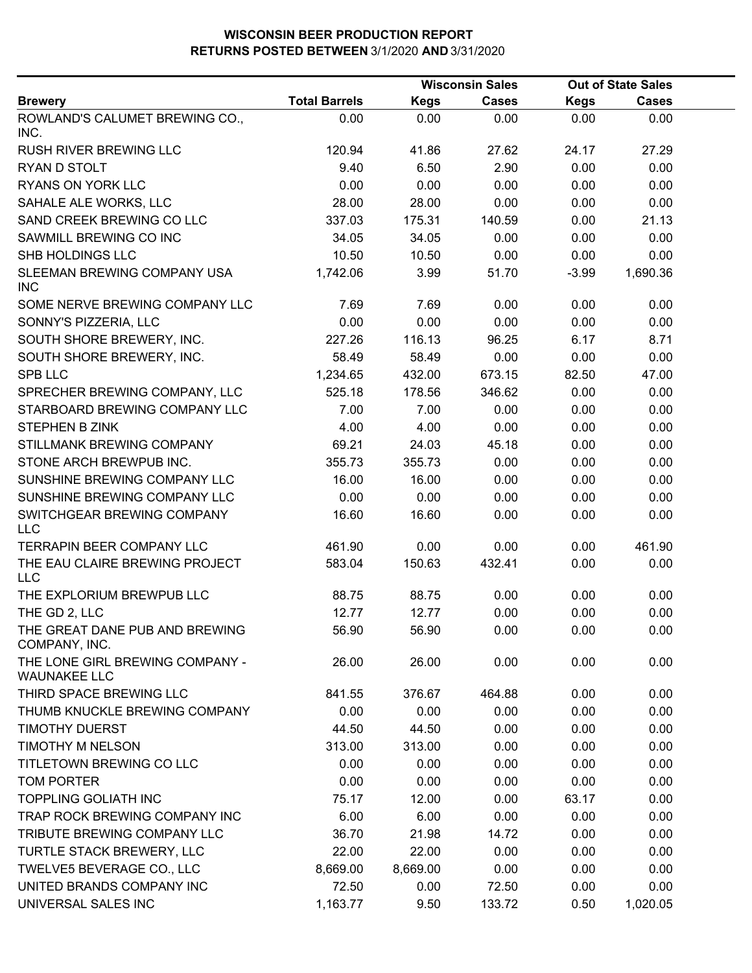|                                                        |                      |             | <b>Wisconsin Sales</b> |             | <b>Out of State Sales</b> |  |
|--------------------------------------------------------|----------------------|-------------|------------------------|-------------|---------------------------|--|
| <b>Brewery</b>                                         | <b>Total Barrels</b> | <b>Kegs</b> | <b>Cases</b>           | <b>Kegs</b> | <b>Cases</b>              |  |
| ROWLAND'S CALUMET BREWING CO.,<br>INC.                 | 0.00                 | 0.00        | 0.00                   | 0.00        | 0.00                      |  |
| <b>RUSH RIVER BREWING LLC</b>                          | 120.94               | 41.86       | 27.62                  | 24.17       | 27.29                     |  |
| RYAN D STOLT                                           | 9.40                 | 6.50        | 2.90                   | 0.00        | 0.00                      |  |
| RYANS ON YORK LLC                                      | 0.00                 | 0.00        | 0.00                   | 0.00        | 0.00                      |  |
| SAHALE ALE WORKS, LLC                                  | 28.00                | 28.00       | 0.00                   | 0.00        | 0.00                      |  |
| SAND CREEK BREWING CO LLC                              | 337.03               | 175.31      | 140.59                 | 0.00        | 21.13                     |  |
| SAWMILL BREWING CO INC                                 | 34.05                | 34.05       | 0.00                   | 0.00        | 0.00                      |  |
| SHB HOLDINGS LLC                                       | 10.50                | 10.50       | 0.00                   | 0.00        | 0.00                      |  |
| SLEEMAN BREWING COMPANY USA<br><b>INC</b>              | 1,742.06             | 3.99        | 51.70                  | $-3.99$     | 1,690.36                  |  |
| SOME NERVE BREWING COMPANY LLC                         | 7.69                 | 7.69        | 0.00                   | 0.00        | 0.00                      |  |
| SONNY'S PIZZERIA, LLC                                  | 0.00                 | 0.00        | 0.00                   | 0.00        | 0.00                      |  |
| SOUTH SHORE BREWERY, INC.                              | 227.26               | 116.13      | 96.25                  | 6.17        | 8.71                      |  |
| SOUTH SHORE BREWERY, INC.                              | 58.49                | 58.49       | 0.00                   | 0.00        | 0.00                      |  |
| <b>SPB LLC</b>                                         | 1,234.65             | 432.00      | 673.15                 | 82.50       | 47.00                     |  |
| SPRECHER BREWING COMPANY, LLC                          | 525.18               | 178.56      | 346.62                 | 0.00        | 0.00                      |  |
| STARBOARD BREWING COMPANY LLC                          | 7.00                 | 7.00        | 0.00                   | 0.00        | 0.00                      |  |
| <b>STEPHEN B ZINK</b>                                  | 4.00                 | 4.00        | 0.00                   | 0.00        | 0.00                      |  |
| STILLMANK BREWING COMPANY                              | 69.21                | 24.03       | 45.18                  | 0.00        | 0.00                      |  |
| STONE ARCH BREWPUB INC.                                | 355.73               | 355.73      | 0.00                   | 0.00        | 0.00                      |  |
| SUNSHINE BREWING COMPANY LLC                           | 16.00                | 16.00       | 0.00                   | 0.00        | 0.00                      |  |
| SUNSHINE BREWING COMPANY LLC                           | 0.00                 | 0.00        | 0.00                   | 0.00        | 0.00                      |  |
| SWITCHGEAR BREWING COMPANY<br><b>LLC</b>               | 16.60                | 16.60       | 0.00                   | 0.00        | 0.00                      |  |
| TERRAPIN BEER COMPANY LLC                              | 461.90               | 0.00        | 0.00                   | 0.00        | 461.90                    |  |
| THE EAU CLAIRE BREWING PROJECT<br><b>LLC</b>           | 583.04               | 150.63      | 432.41                 | 0.00        | 0.00                      |  |
| THE EXPLORIUM BREWPUB LLC                              | 88.75                | 88.75       | 0.00                   | 0.00        | 0.00                      |  |
| THE GD 2, LLC                                          | 12.77                | 12.77       | 0.00                   | 0.00        | 0.00                      |  |
| THE GREAT DANE PUB AND BREWING<br>COMPANY, INC.        | 56.90                | 56.90       | 0.00                   | 0.00        | 0.00                      |  |
| THE LONE GIRL BREWING COMPANY -<br><b>WAUNAKEE LLC</b> | 26.00                | 26.00       | 0.00                   | 0.00        | 0.00                      |  |
| THIRD SPACE BREWING LLC                                | 841.55               | 376.67      | 464.88                 | 0.00        | 0.00                      |  |
| THUMB KNUCKLE BREWING COMPANY                          | 0.00                 | 0.00        | 0.00                   | 0.00        | 0.00                      |  |
| <b>TIMOTHY DUERST</b>                                  | 44.50                | 44.50       | 0.00                   | 0.00        | 0.00                      |  |
| TIMOTHY M NELSON                                       | 313.00               | 313.00      | 0.00                   | 0.00        | 0.00                      |  |
| TITLETOWN BREWING CO LLC                               | 0.00                 | 0.00        | 0.00                   | 0.00        | 0.00                      |  |
| <b>TOM PORTER</b>                                      | 0.00                 | 0.00        | 0.00                   | 0.00        | 0.00                      |  |
| <b>TOPPLING GOLIATH INC</b>                            | 75.17                | 12.00       | 0.00                   | 63.17       | 0.00                      |  |
| TRAP ROCK BREWING COMPANY INC                          | 6.00                 | 6.00        | 0.00                   | 0.00        | 0.00                      |  |
| TRIBUTE BREWING COMPANY LLC                            | 36.70                | 21.98       | 14.72                  | 0.00        | 0.00                      |  |
| TURTLE STACK BREWERY, LLC                              | 22.00                | 22.00       | 0.00                   | 0.00        | 0.00                      |  |
| TWELVE5 BEVERAGE CO., LLC                              | 8,669.00             | 8,669.00    | 0.00                   | 0.00        | 0.00                      |  |
| UNITED BRANDS COMPANY INC                              | 72.50                | 0.00        | 72.50                  | 0.00        | 0.00                      |  |
| UNIVERSAL SALES INC                                    | 1,163.77             | 9.50        | 133.72                 | 0.50        | 1,020.05                  |  |